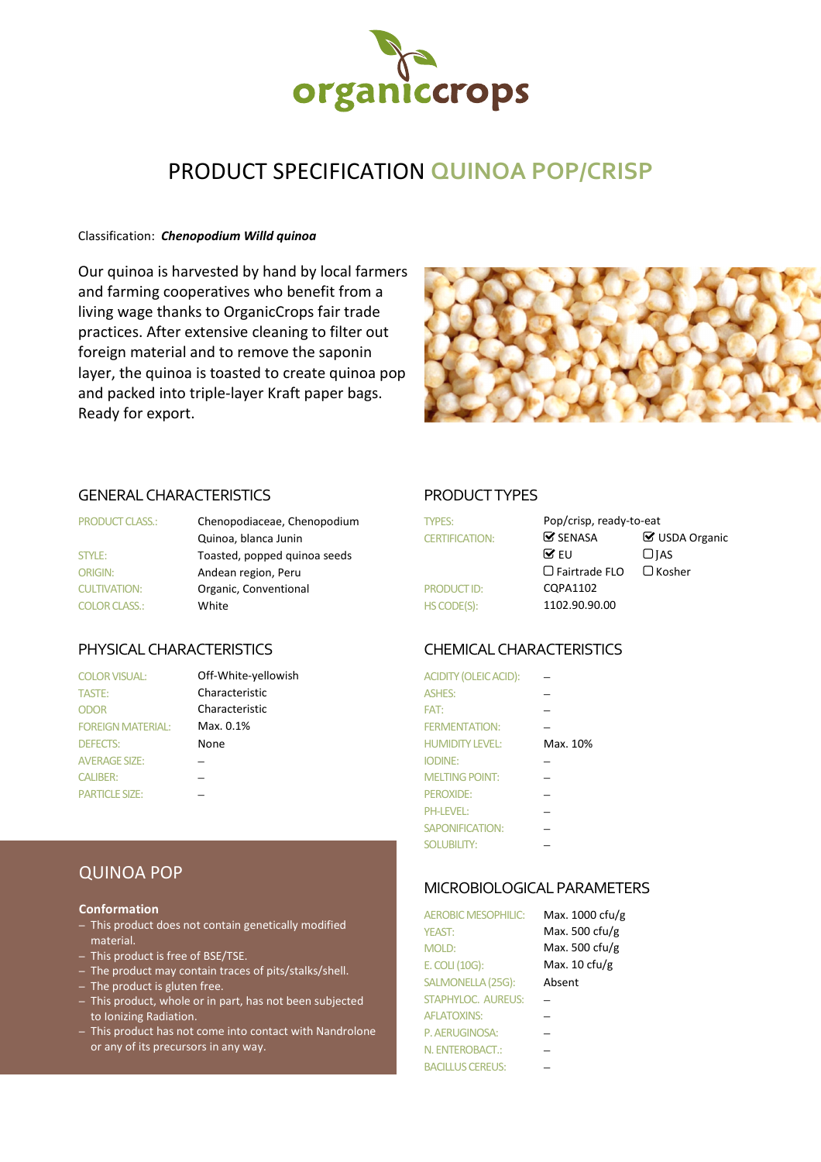

# PRODUCT SPECIFICATION **QUINOA POP/CRISP**

## Classification: *Chenopodium Willd quinoa*

Our quinoa is harvested by hand by local farmers and farming cooperatives who benefit from a living wage thanks to OrganicCrops fair trade practices. After extensive cleaning to filter out foreign material and to remove the saponin layer, the quinoa is toasted to create quinoa pop and packed into triple-layer Kraft paper bags. Ready for export.



# GENERAL CHARACTERISTICS PRODUCT TYPES

| <b>PRODUCT CLASS.:</b> | Chenopodiaceae, Chenopodium  | <b>TYPES:</b>         | Pop/crisp, ready-to-eat       |    |
|------------------------|------------------------------|-----------------------|-------------------------------|----|
|                        | Quinoa, blanca Junin         | <b>CERTIFICATION:</b> | $\mathbf{\mathcal{G}}$ SENASA | ⊗τ |
| <b>STYLE:</b>          | Toasted, popped quinoa seeds |                       | $\triangledown$ FU            | Ωµ |
| <b>ORIGIN:</b>         | Andean region, Peru          |                       | $\Box$ Fairtrade FLO          | Пκ |
| <b>CULTIVATION:</b>    | Organic, Conventional        | PRODUCT ID:           | COPA1102                      |    |
| <b>COLOR CLASS.:</b>   | White                        | HS CODE(S):           | 1102.90.90.00                 |    |

| <b>COLOR VISUAL:</b>     | Off-White-yellowish | ACIDITY (OLEIC ACID):  |          |
|--------------------------|---------------------|------------------------|----------|
| <b>TASTE:</b>            | Characteristic      | <b>ASHES:</b>          |          |
| <b>ODOR</b>              | Characteristic      | FAT:                   |          |
| <b>FOREIGN MATERIAL:</b> | Max. 0.1%           | <b>FERMENTATION:</b>   |          |
| <b>DEFECTS:</b>          | None                | <b>HUMIDITY LEVEL:</b> | Max. 10% |
| <b>AVERAGE SIZE:</b>     |                     | <b>IODINE:</b>         |          |
| <b>CALIBER:</b>          |                     | <b>MELTING POINT:</b>  |          |
| PARTICI F SIZF.          |                     | <b>PEROXIDE:</b>       |          |

| <b>PRODUCT CLASS.:</b> | Chenopodiaceae, Chenopodium  | <b>TYPES:</b>         |                               | Pop/crisp, ready-to-eat |  |
|------------------------|------------------------------|-----------------------|-------------------------------|-------------------------|--|
|                        | Quinoa, blanca Junin         | <b>CERTIFICATION:</b> | $\mathbf{\mathcal{G}}$ SENASA | ■ USDA Organic          |  |
| <b>STYLE:</b>          | Toasted, popped quinoa seeds |                       | $\mathbf{\nabla}$ EU          | $\Box$ IAS              |  |
| ORIGIN:                | Andean region, Peru          |                       | $\Box$ Fairtrade FLO          | $\Box$ Kosher           |  |
| <b>CULTIVATION:</b>    | Organic, Conventional        | <b>PRODUCT ID:</b>    | CQPA1102                      |                         |  |
| <b>COLOR CLASS.:</b>   | White                        | HS CODE(S):           | 1102.90.90.00                 |                         |  |
|                        |                              |                       |                               |                         |  |

# PHYSICAL CHARACTERISTICS CHEMICAL CHARACTERISTICS

| <b>COLOR VISUAL:</b>     | Off-White-yellowish | ACIDITY (OLEIC ACID):  |          |
|--------------------------|---------------------|------------------------|----------|
| <b>TASTE:</b>            | Characteristic      | <b>ASHES:</b>          |          |
| <b>ODOR</b>              | Characteristic      | FAT:                   |          |
| <b>FOREIGN MATERIAL:</b> | Max. 0.1%           | <b>FERMENTATION:</b>   |          |
| <b>DEFECTS:</b>          | None                | <b>HUMIDITY LEVEL:</b> | Max. 10% |
| <b>AVERAGE SIZE:</b>     |                     | <b>IODINE:</b>         |          |
| <b>CALIBER:</b>          |                     | <b>MELTING POINT:</b>  |          |
| <b>PARTICLE SIZE:</b>    |                     | PEROXIDE:              |          |
|                          |                     | <b>PH-LEVEL:</b>       |          |
|                          |                     | SAPONIFICATION:        |          |
|                          |                     | <b>SOLUBILITY:</b>     |          |

# MICROBIOLOGICAL PARAMETERS

| <b>AEROBIC MESOPHILIC:</b> | Max. 1000 cfu/g          |
|----------------------------|--------------------------|
| <b>YEAST:</b>              | Max. 500 cfu/g           |
| MOLD:                      | Max. 500 cfu/g           |
| E. COLI (10G):             | Max. $10 \text{ c}$ fu/g |
| SALMONELLA (25G):          | Absent                   |
| <b>STAPHYLOC. AUREUS:</b>  |                          |
| <b>AFLATOXINS:</b>         |                          |
| P. AERUGINOSA:             |                          |
| N. ENTEROBACT.:            |                          |
| <b>BACILLUS CEREUS:</b>    |                          |

# QUINOA POP

## **Conformation**

- This product does not contain genetically modified material.
- This product is free of BSE/TSE.
- The product may contain traces of pits/stalks/shell.
- The product is gluten free.
- This product, whole or in part, has not been subjected to Ionizing Radiation.
- This product has not come into contact with Nandrolone or any of its precursors in any way.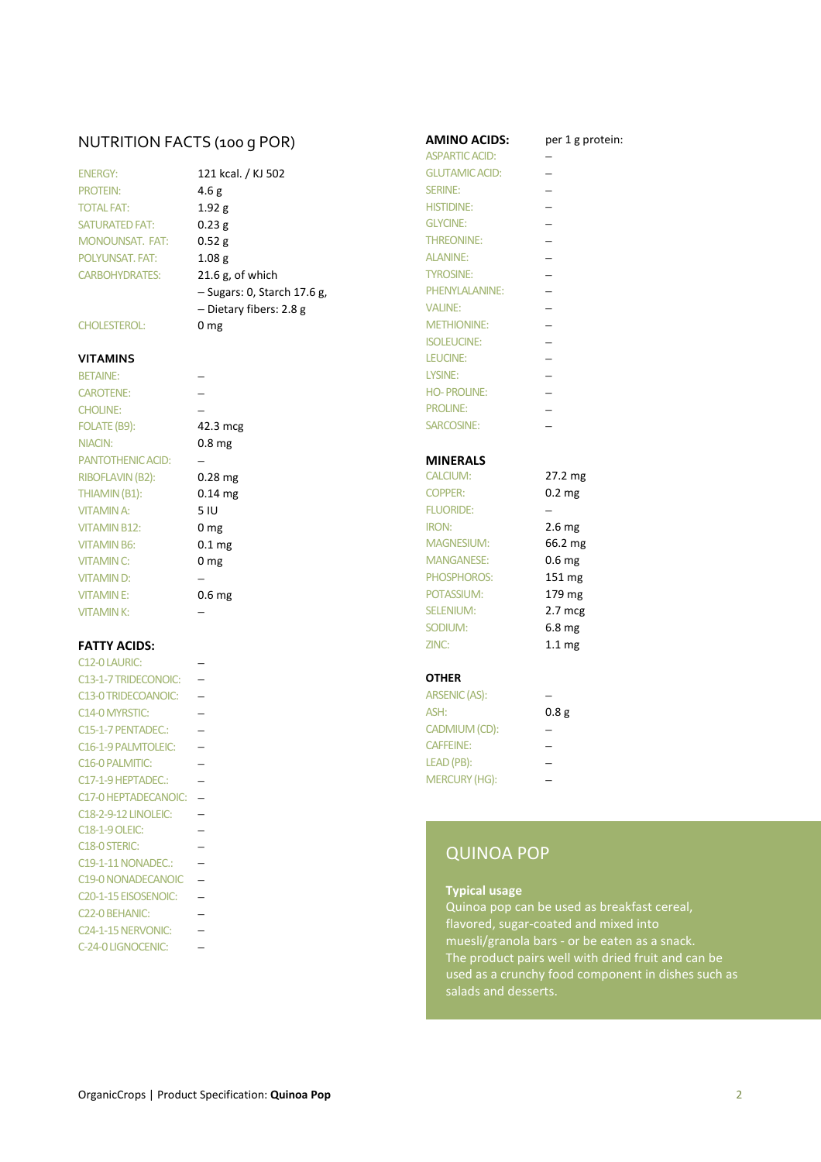# NUTRITION FACTS (100 g POR) **AMINO ACIDS:** per 1 g protein:<br>ASPARTIC ACID:  $\frac{1}{2}$

| <b>ENERGY:</b>         |
|------------------------|
| <b>PROTEIN:</b>        |
| <b>TOTAL FAT:</b>      |
| <b>SATURATED FAT:</b>  |
| <b>MONOUNSAT, FAT:</b> |
| POI YUNSAT, FAT:       |
| <b>CARBOHYDRATES:</b>  |

# **VITAMINS** LEUCINE: −

CAROTENE: − HO- PROLINE: − CHOLINE: − − − PROLINE: − FOLATE (B9): 42.3 mcg SARCOSINE: − NIACIN: 0.8 mg PANTOTHENIC ACID: − **− MINERALS** RIBOFLAVIN (B2): 0.28 mg THIAMIN (B1):  $0.14 \text{ mg}$  COPPERS: 0.2 mg VITAMIN B12: 0 mg VITAMIN B6:  $0.1 \text{ mg}$  M VITAMIN C:  $0 \text{ mg}$  M VITAMIN D: − → PHOSPHOROS VITAMIN E: 0.6 mg POTASSIUM: 179 mg POTASSIUM: 179 mg POTASSIUM: 179 mg POTASSIUM: 179 mg POTASSIUM: 179 mg POT

| C12-0 LAURIC:                     |                 |
|-----------------------------------|-----------------|
| C13-1-7 TRIDECONOIC:              | <b>OTHER</b>    |
| C13-0 TRIDECOANOIC:               | <b>ARSENIC</b>  |
| C <sub>14</sub> -0 MYRSTIC:       | ASH:            |
| C15-1-7 PENTADEC.:                | <b>CADMIU</b>   |
| C16-1-9 PALMTOLEIC:               | <b>CAFFEIN</b>  |
| C <sub>16</sub> -0 PALMITIC:      | <b>LEAD (PE</b> |
| C17-1-9 HEPTADEC.:                | <b>MERCUF</b>   |
| C17-0 HEPTADECANOIC: -            |                 |
| <b>C18-2-9-12 LINOLEIC:</b>       |                 |
| <b>C18-1-9 OLEIC:</b>             |                 |
| C <sub>18</sub> -0 STERIC:        | Q١              |
| C19-1-11 NONADEC.:                |                 |
| C19-0 NONADECANOIC                |                 |
| C <sub>20</sub> -1-15 EISOSENOIC: | <b>Typ</b>      |
| C <sub>22</sub> -0 BEHANIC:       | Qui             |
| C <sub>24</sub> -1-15 NERVONIC:   | flav            |
| C-24-0 LIGNOCENIC:                | mu              |

|                        |                               | <b>ASPARTIC ACID:</b> |  |
|------------------------|-------------------------------|-----------------------|--|
| <b>ENERGY:</b>         | 121 kcal. / KJ 502            | <b>GLUTAMIC ACID:</b> |  |
| <b>PROTEIN:</b>        | 4.6 <sub>g</sub>              | <b>SERINE:</b>        |  |
| <b>TOTAL FAT:</b>      | 1.92 g                        | <b>HISTIDINE:</b>     |  |
| <b>SATURATED FAT:</b>  | 0.23g                         | <b>GLYCINE:</b>       |  |
| <b>MONOUNSAT, FAT:</b> | 0.52 g                        | <b>THREONINE:</b>     |  |
| <b>POLYUNSAT, FAT:</b> | 1.08 <sub>g</sub>             | <b>ALANINE:</b>       |  |
| <b>CARBOHYDRATES:</b>  | $21.6$ g, of which            | <b>TYROSINE:</b>      |  |
|                        | $-$ Sugars: 0, Starch 17.6 g, | PHENYLALANINE:        |  |
|                        | $-$ Dietary fibers: 2.8 g     | <b>VALINE:</b>        |  |
| <b>CHOLESTEROL:</b>    | 0 <sub>mg</sub>               | <b>METHIONINE:</b>    |  |

# BETAINE: − LYSINE: −

ASPARTIC ACID:

ISOLEUCINE: −

| <b>RIBOFLAVIN (B2):</b> | $0.28$ mg           | <b>CALCIUM:</b>   | 27.2 mg           |
|-------------------------|---------------------|-------------------|-------------------|
| THIAMIN (B1):           | $0.14$ mg           | <b>COPPER:</b>    | 0.2 <sub>mg</sub> |
| VITAMIN A:              | 5 IU                | <b>FLUORIDE:</b>  |                   |
| <b>VITAMIN B12:</b>     | 0 <sub>mg</sub>     | IRON:             | 2.6 <sub>mg</sub> |
| VITAMIN B6:             | $0.1 \,\mathrm{mg}$ | <b>MAGNESIUM:</b> | 66.2 mg           |
| <b>VITAMIN C:</b>       | 0 <sub>mg</sub>     | <b>MANGANESE:</b> | 0.6 <sub>mg</sub> |
| VITAMIND:               |                     | PHOSPHOROS:       | $151 \text{ mg}$  |
| <b>VITAMINE:</b>        | 0.6 <sub>mg</sub>   | POTASSIUM:        | $179 \text{ mg}$  |
| <b>VITAMINK:</b>        |                     | <b>SELENIUM:</b>  | $2.7 \text{ mcg}$ |
|                         |                     | SODIUM:           | 6.8 <sub>mg</sub> |
| <b>FATTY ACIDS:</b>     |                     | ZINC:             | 1.1 <sub>mg</sub> |

| <b>C13-0 TRIDECOANOIC:</b> | ARSENIC (AS):        |      |
|----------------------------|----------------------|------|
| C14-0 MYRSTIC:             | ASH:                 | 0.8g |
| C15-1-7 PENTADEC.:         | CADMIUM (CD):        |      |
| C16-1-9 PALMTOLEIC:        | <b>CAFFEINE:</b>     |      |
| C16-0 PALMITIC:            | LEAD (PB):           |      |
| C17-1-9 HEPTADEC.:         | <b>MERCURY (HG):</b> |      |

# QUINOA POP

## **Typical usage**

Quinoa pop can be used as breakfast cereal, flavored, sugar-coated and mixed into muesli/granola bars - or be eaten as a snack. The product pairs well with dried fruit and can be used as a crunchy food component in dishes such as salads and desserts.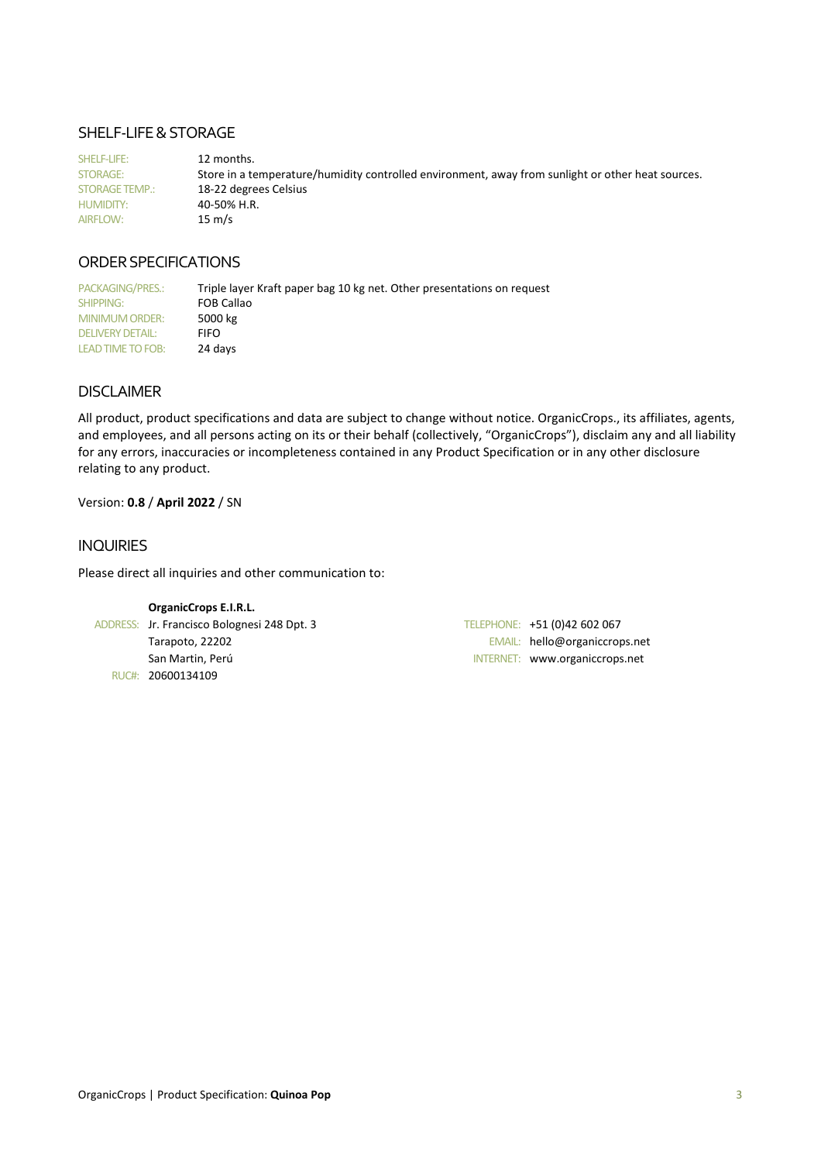# SHELF-LIFE & STORAGE

SHELF-LIFE: 12 months. STORAGE: Store in a temperature/humidity controlled environment, away from sunlight or other heat sources. STORAGE TEMP.: 18-22 degrees Celsius HUMIDITY: 40-50% H.R. AIRFLOW: 15 m/s

# ORDER SPECIFICATIONS

PACKAGING/PRES.: Triple layer Kraft paper bag 10 kg net. Other presentations on request SHIPPING: FOB Callao<br>MINIMUM ORDER: 5000 kg MINIMUM ORDER: DELIVERY DETAIL: FIFO LEAD TIME TO FOB: 24 days

# DISCLAIMER

All product, product specifications and data are subject to change without notice. OrganicCrops., its affiliates, agents, and employees, and all persons acting on its or their behalf (collectively, "OrganicCrops"), disclaim any and all liability for any errors, inaccuracies or incompleteness contained in any Product Specification or in any other disclosure relating to any product.

# Version: **0.8** / **April 2022** / SN

# INQUIRIES

Please direct all inquiries and other communication to:

| <b>OrganicCrops E.I.R.L.</b>                |                                |
|---------------------------------------------|--------------------------------|
| ADDRESS: Jr. Francisco Bolognesi 248 Dpt. 3 | TELEPHONE: +51 (0)42 602 067   |
| Tarapoto, 22202                             | EMAIL: hello@organiccrops.net  |
| San Martin, Perú                            | INTERNET: www.organiccrops.net |
| RUC#: 20600134109                           |                                |